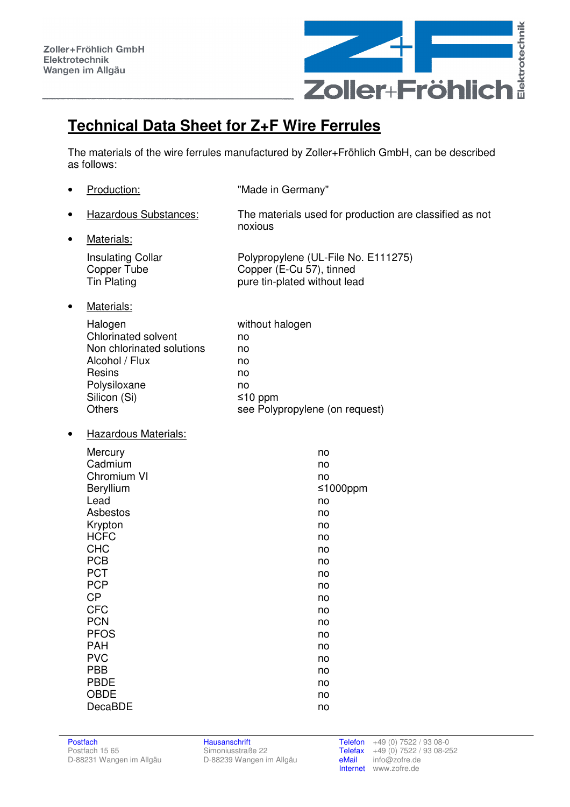

## **Technical Data Sheet for Z+F Wire Ferrules**

The materials of the wire ferrules manufactured by Zoller+Fröhlich GmbH, can be described as follows:

| Production:                                                                                                                                                                                                                                                                          | "Made in Germany"                                                                                                                      |
|--------------------------------------------------------------------------------------------------------------------------------------------------------------------------------------------------------------------------------------------------------------------------------------|----------------------------------------------------------------------------------------------------------------------------------------|
| Hazardous Substances:                                                                                                                                                                                                                                                                | The materials used for production are classified as not<br>noxious                                                                     |
| Materials:                                                                                                                                                                                                                                                                           |                                                                                                                                        |
| <b>Insulating Collar</b><br>Copper Tube<br><b>Tin Plating</b>                                                                                                                                                                                                                        | Polypropylene (UL-File No. E111275)<br>Copper (E-Cu 57), tinned<br>pure tin-plated without lead                                        |
| Materials:                                                                                                                                                                                                                                                                           |                                                                                                                                        |
| Halogen<br><b>Chlorinated solvent</b><br>Non chlorinated solutions<br>Alcohol / Flux<br>Resins<br>Polysiloxane<br>Silicon (Si)<br><b>Others</b>                                                                                                                                      | without halogen<br>no<br>no<br>no<br>no<br>no<br>$≤10$ ppm<br>see Polypropylene (on request)                                           |
| <b>Hazardous Materials:</b>                                                                                                                                                                                                                                                          |                                                                                                                                        |
| Mercury<br>Cadmium<br>Chromium VI<br>Beryllium<br>Lead<br>Asbestos<br>Krypton<br><b>HCFC</b><br><b>CHC</b><br><b>PCB</b><br><b>PCT</b><br><b>PCP</b><br><b>CP</b><br><b>CFC</b><br><b>PCN</b><br><b>PFOS</b><br><b>PAH</b><br><b>PVC</b><br><b>PBB</b><br><b>PBDE</b><br><b>OBDE</b> | no<br>no<br>no<br>≤1000ppm<br>no<br>no<br>no<br>no<br>no<br>no<br>no<br>no<br>no<br>no<br>no<br>no<br>no<br>no<br>no<br>no<br>no<br>no |
|                                                                                                                                                                                                                                                                                      | DecaBDE                                                                                                                                |

D-88239 Wangen im Allgäu